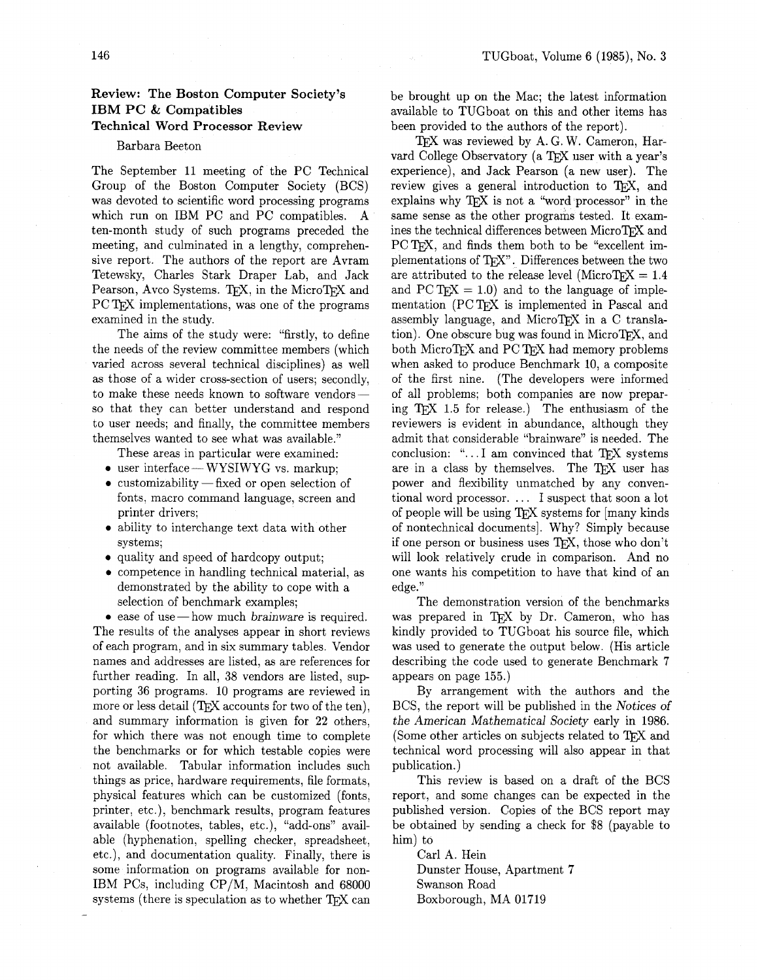# **Review: The Boston Computer Society's IBM PC** & **Compatibles Technical Word Processor Review**

#### Barbara Beeton

The September 11 meeting of the PC Technical Group of the Boston Computer Society (BCS) was devoted to scientific word processing programs which run on IBM PC and PC compatibles. A ten-month study of such programs preceded the meeting, and culminated in a lengthy, comprehensive report. The authors of the report are Avram Tetewsky, Charles Stark Draper Lab, and Jack Pearson, Avco Systems. TEX, in the MicroTEX and PC TFX implementations, was one of the programs examined in the study.

The aims of the study were: "firstly, to define the needs of the review committee members (which varied across several technical disciplines) as well as those of a wider cross-section of users; secondly, to make these needs known to software vendorsso that they can better understand and respond to user needs; and finally, the committee members themselves wanted to see what was available."

These areas in particular were examined:

• user interface - WYSIWYG vs. markup;

- customizability fixed or open selection of fonts, macro command language, screen and printer drivers;
- **0** ability to interchange text data with other systems;
- **0** quality and speed of hardcopy output;
- **0** competence in handling technical material, as demonstrated by the ability to cope with a selection of benchmark examples;

• ease of use — how much brainware is required. The results of the analyses appear in short reviews of each program, and in six summary tables. Vendor names and addresses are listed, as are references for further reading. In all, 38 vendors are listed, supporting 36 programs. 10 programs are reviewed in more or less detail  $(TFX$  accounts for two of the ten), and summary information is given for **22** others, for which there was not enough time to complete the benchmarks or for which testable copies were not available. Tabular information includes such things as price, hardware requirements, file formats, physical features which can be customized (fonts, printer, etc.), benchmark results, program features available (footnotes, tables, etc.), "add-ons" available (hyphenation, spelling checker, spreadsheet, etc.), and documentation quality. Finally, there is some information on programs available for non-IBM PCs, including CP/M, Macintosh and 68000 systems (there is speculation as to whether TFX can be brought up on the Mac; the latest information available to TUGboat on this and other items has been provided to the authors of the report).

TFX was reviewed by A. G. W. Cameron, Harvard College Observatory (a TFX user with a year's experience), and Jack Pearson (a new user). The review gives a general introduction to TFX, and explains why  $T_F X$  is not a "word processor" in the same sense as the other programs tested. It examines the technical differences between MicroTFX and PC T<sub>F</sub>X, and finds them both to be "excellent implementations of TFX". Differences between the two are attributed to the release level (MicroTFX =  $1.4$ ) and PCT<sub>F</sub>X = 1.0) and to the language of implementation (PC TFX is implemented in Pascal and assembly language, and MicroTFX in a C translation). One obscure bug was found in MicroTEX, and both MicroTEX and PC TEX had memory problems when asked to produce Benchmark 10, a composite of the first nine. (The developers were informed of all problems; both companies are now preparing T<sub>F</sub>X 1.5 for release.) The enthusiasm of the reviewers is evident in abundance, although they admit that considerable "brainware" is needed. The conclusion: " $\ldots$  I am convinced that TFX systems are in a class by themselves. The TFX user has power and flexibility unmatched by any conventional word processor. . . . I suspect that soon a lot of people will be using TFX systems for [many kinds] of nontechnical documents]. Why? Simply because if one person or business uses TFX, those who don't will look relatively crude in comparison. And no one wants his competition to have that kind of an edge."

The demonstration version of the benchmarks was prepared in T<sub>F</sub>X by Dr. Cameron, who has kindly provided to TUGboat his source file, which was used to generate the output below. (His article describing the code used to generate Benchmark 7 appears on page 155.)

By arrangement with the authors and the BCS, the report will be published in the Notices of the American Mathematical Society early in 1986. (Some other articles on subjects related to TFX and technical word processing will also appear in that publication.)

This review is based on a draft of the BCS report, and some changes can be expected in the published version. Copies of the BCS report may be obtained by sending a check for \$8 (payable to him) to

Carl A. Hein Dunster House, Apartment 7 Swanson Road Boxborough, MA 01719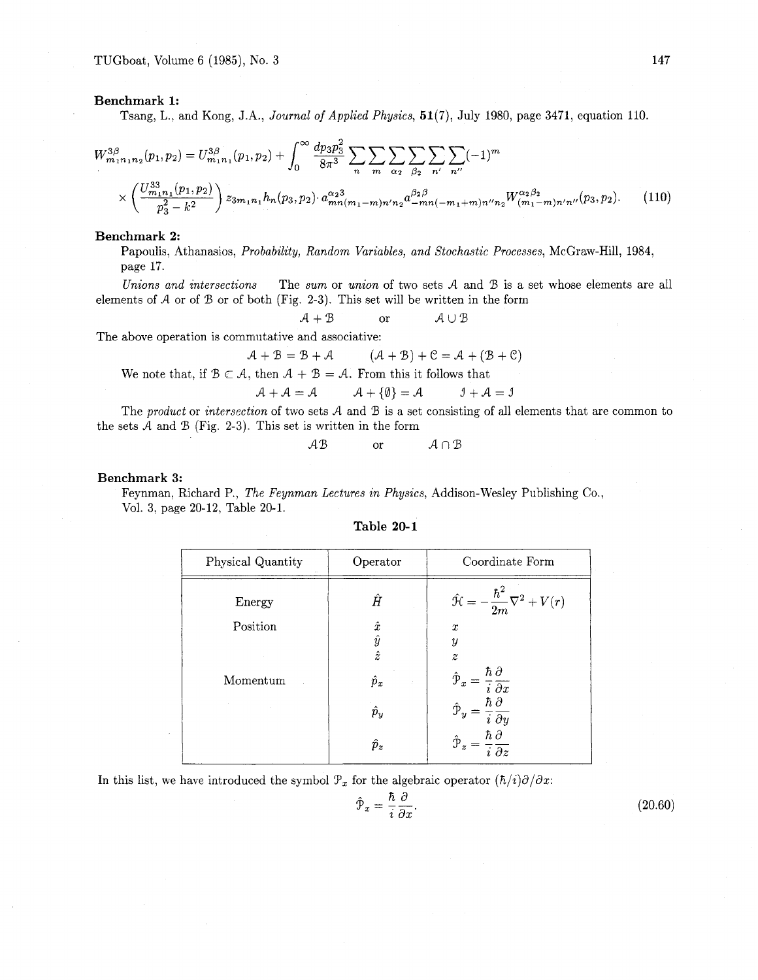### **Benchmark** 1:

Tsang, L., and Kong, J.A., Journal of Applied Physics, 51(7), July 1980, page 3471, equation 110.

$$
W_{m_1n_1n_2}^{3\beta}(p_1, p_2) = U_{m_1n_1}^{3\beta}(p_1, p_2) + \int_0^\infty \frac{dp_3p_3^2}{8\pi^3} \sum_n \sum_m \sum_{\alpha_2} \sum_{\beta_2} \sum_{n'} \sum_{n''} (-1)^m
$$
  
 
$$
\times \left(\frac{U_{m_1n_1}^{33}(p_1, p_2)}{p_3^2 - k^2}\right) z_{3m_1n_1} h_n(p_3, p_2) \cdot a_{mn(m_1 - m)n'n_2}^{\alpha_2 3} a_{-mn(-m_1 + m)n'n_2}^{\alpha_2 \beta} W_{(m_1 - m)n'n'}^{\alpha_2 \beta_2} (p_3, p_2). \tag{110}
$$

## **Benchmark 2:**

Papoulis, Athanasios, Probability, Random Variables, and Stochastic Processes, McGraw-Hill, 1984, page 17.

Unions and intersections The sum or union of two sets  $A$  and  $B$  is a set whose elements are all elements of  $A$  or of  $B$  or of both (Fig. 2-3). This set will be written in the form

 $A + B$  or  $A \cup B$ 

The above operation is commutative and associative:

$$
A + B = B + A \qquad (A + B) + C = A + (B + C)
$$

We note that, if  $B \subset A$ , then  $A + B = A$ . From this it follows that

$$
\mathcal{A} + \mathcal{A} = \mathcal{A} \qquad \qquad \mathcal{A} + \{\emptyset\} = \mathcal{A} \qquad \qquad \mathcal{I} + \mathcal{A} = \mathcal{I}
$$

The product or intersection of two sets  $A$  and  $B$  is a set consisting of all elements that are common to the sets  $A$  and  $B$  (Fig. 2-3). This set is written in the form

 $AB$  or  $A \cap B$ 

## **Benchmark 3:**

Feynman, Richard P., The Feynman Lectures in Physics, Addison-Wesley Publishing Co., Vol. 3, page 20-12, Table 20-1.

| Table 20-1 |  |
|------------|--|
|------------|--|

| Physical Quantity | Operator                  | Coordinate Form                                                                      |  |
|-------------------|---------------------------|--------------------------------------------------------------------------------------|--|
| Energy            | Ĥ                         | $-\frac{\hbar^2}{2m}\nabla^2+V(r)$<br>Ĥ                                              |  |
| Position          | $\hat{x}$                 | $\boldsymbol{x}$                                                                     |  |
|                   | $\frac{\hat{y}}{\hat{z}}$ | $\boldsymbol{y}$                                                                     |  |
|                   |                           | $\boldsymbol{z}$                                                                     |  |
| Momentum          | $\hat{p}_x$               | $\hbar\,\partial$<br>$\hat{\mathcal{P}}_x$<br>$\overline{i} \overline{\partial x}$   |  |
|                   | $\hat{p}_y$               | $\hbar\,\partial$<br>ŷ<br>$\overline{i}\ \overline{\partial y}$                      |  |
|                   | $\hat{p}_z$               | $\hbar$ $\partial$<br>$\hat{\mathcal{P}}_z$<br>$\overline{i}\ \overline{\partial} z$ |  |

In this list, we have introduced the symbol  $\mathcal{P}_x$  for the algebraic operator  $(\hbar/i)\partial/\partial x$ :

$$
\hat{\mathcal{P}}_x = \frac{\hbar}{i} \frac{\partial}{\partial x}.
$$
\n(20.60)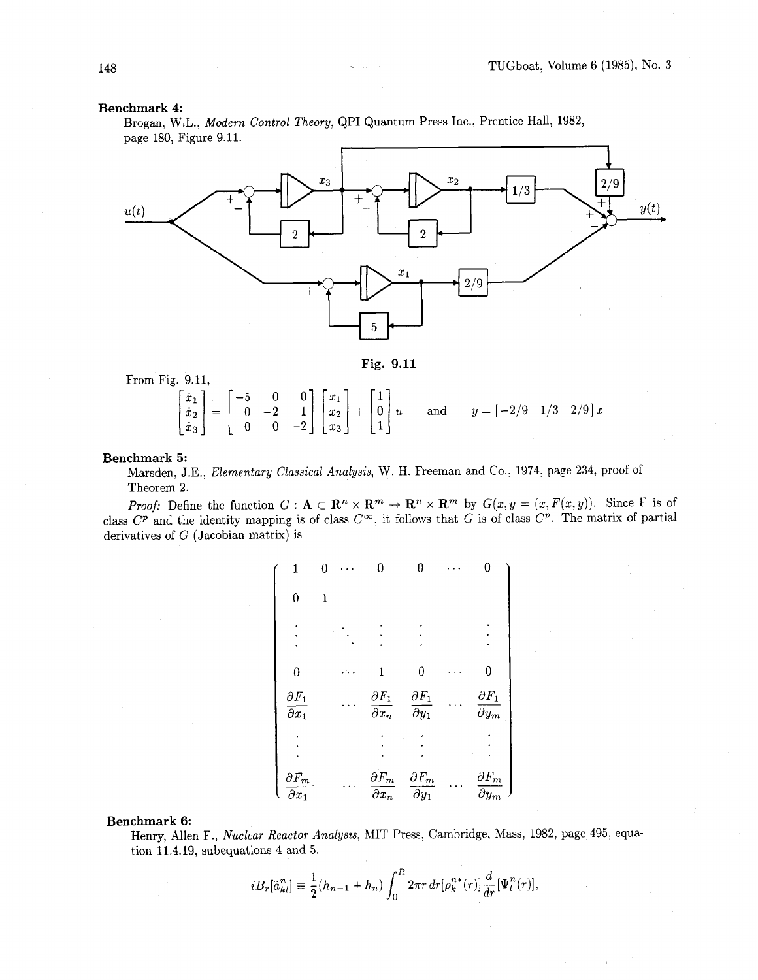#### **Benchmark 4:**

Brogan, W.L., Modern Control Theory, QPI Quantum Press Inc., Prentice Hall, 1982, page 180, Figure 9.11.



**Fig. 9.11** 

From Fig. 9.11,

9.11,<br>  $\begin{bmatrix} \dot{x}_1 \\ \dot{x}_2 \\ \dot{x}_3 \end{bmatrix} = \begin{bmatrix} -5 & 0 & 0 \\ 0 & -2 & 1 \\ 0 & 0 & -2 \end{bmatrix} \begin{bmatrix} x_1 \\ x_2 \\ x_3 \end{bmatrix} + \begin{bmatrix} 1 \\ 0 \\ 1 \end{bmatrix} u$  and  $y = \begin{bmatrix} -2/9 & 1/3 & 2/9 \end{bmatrix} x$ 

#### **Benchmark 5:**

Marsden, J.E., Elementary Classical Analysis, W. H. Freeman and Co., 1974, page 234, proof of Theorem 2.

**Proof:** Define the function  $G: \mathbf{A} \subset \mathbf{R}^n \times \mathbf{R}^m \to \mathbf{R}^n \times \mathbf{R}^m$  by  $G(x, y = (x, F(x, y))$ . Since F is of class  $C^p$  and the identity mapping is of class  $C^{\infty}$ , it follows that G is of class  $C^p$ . The matrix of partial derivatives of G (Jacobian matrix) is

| 1                                           |  | 0                                                     |                                             | 0                                            |
|---------------------------------------------|--|-------------------------------------------------------|---------------------------------------------|----------------------------------------------|
| 0                                           |  |                                                       |                                             |                                              |
|                                             |  |                                                       |                                             |                                              |
| $\bf{0}$                                    |  | 1                                                     | 0                                           | 0                                            |
| $\partial F_1$<br>$\overline{\partial x}_1$ |  | $\partial F_1$<br>$\overline{\partial x_n}$           | $\partial F_1$<br>$\overline{\partial} y_1$ | $\partial F_1$<br>$\overline{\partial}{}y_m$ |
|                                             |  |                                                       |                                             |                                              |
| $\partial F_m$<br>$\overline{\partial x_1}$ |  | $\partial F_m$<br>$\overline{\partial}\overline{x}_n$ | $\partial F_m$<br>$\overline{\partial} y_1$ | $\partial F_m$<br>$\partial y_m$             |

#### **Benchmark 6:**

Henry, Allen F., Nuclear Reactor Analysis, MIT Press, Cambridge, Mass, 1982, page 495, equation 11.4.19, subequations 4 and 5.

$$
iB_r[\tilde{a}_{kl}^n] \equiv \frac{1}{2}(h_{n-1} + h_n) \int_0^R 2\pi r \, dr [\rho_k^{n*}(r)] \frac{d}{dr}[\Psi_l^n(r)].
$$